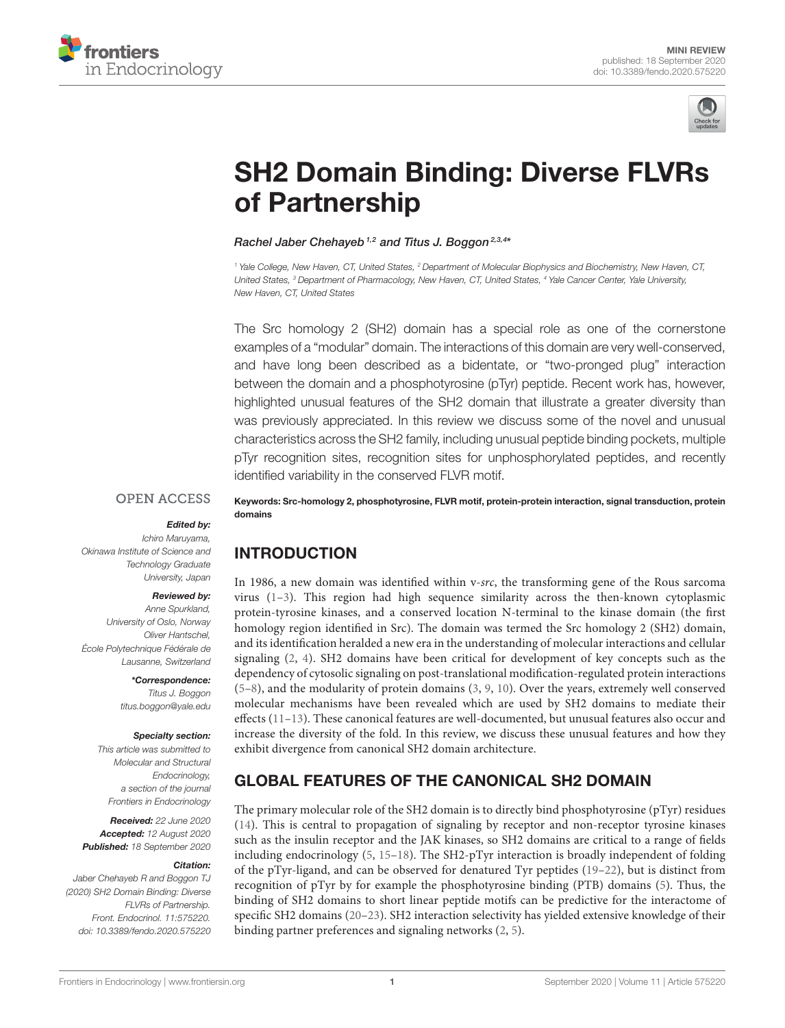



# [SH2 Domain Binding: Diverse FLVRs](https://www.frontiersin.org/articles/10.3389/fendo.2020.575220/full) of Partnership

Rachel Jaber Chehayeb<sup>1,2</sup> and Titus J. Boggon<sup>2,3,4\*</sup>

<sup>1</sup> Yale College, New Haven, CT, United States, <sup>2</sup> Department of Molecular Biophysics and Biochemistry, New Haven, CT, United States, <sup>3</sup> Department of Pharmacology, New Haven, CT, United States, <sup>4</sup> Yale Cancer Center, Yale University, New Haven, CT, United States

The Src homology 2 (SH2) domain has a special role as one of the cornerstone examples of a "modular" domain. The interactions of this domain are very well-conserved, and have long been described as a bidentate, or "two-pronged plug" interaction between the domain and a phosphotyrosine (pTyr) peptide. Recent work has, however, highlighted unusual features of the SH2 domain that illustrate a greater diversity than was previously appreciated. In this review we discuss some of the novel and unusual characteristics across the SH2 family, including unusual peptide binding pockets, multiple pTyr recognition sites, recognition sites for unphosphorylated peptides, and recently identified variability in the conserved FLVR motif.

#### **OPEN ACCESS**

#### Edited by:

Ichiro Maruyama, Okinawa Institute of Science and Technology Graduate University, Japan

#### Reviewed by:

Anne Spurkland, University of Oslo, Norway Oliver Hantschel, École Polytechnique Fédérale de Lausanne, Switzerland

> \*Correspondence: Titus J. Boggon [titus.boggon@yale.edu](mailto:titus.boggon@yale.edu)

#### Specialty section:

This article was submitted to Molecular and Structural **Endocrinology** a section of the journal Frontiers in Endocrinology

Received: 22 June 2020 Accepted: 12 August 2020 Published: 18 September 2020

#### Citation:

Jaber Chehayeb R and Boggon TJ (2020) SH2 Domain Binding: Diverse FLVRs of Partnership. Front. Endocrinol. 11:575220. doi: [10.3389/fendo.2020.575220](https://doi.org/10.3389/fendo.2020.575220)

Keywords: Src-homology 2, phosphotyrosine, FLVR motif, protein-protein interaction, signal transduction, protein domains

# INTRODUCTION

In 1986, a new domain was identified within v-src, the transforming gene of the Rous sarcoma virus  $(1-3)$  $(1-3)$ . This region had high sequence similarity across the then-known cytoplasmic protein-tyrosine kinases, and a conserved location N-terminal to the kinase domain (the first homology region identified in Src). The domain was termed the Src homology 2 (SH2) domain, and its identification heralded a new era in the understanding of molecular interactions and cellular signaling [\(2,](#page-5-2) [4\)](#page-5-3). SH2 domains have been critical for development of key concepts such as the dependency of cytosolic signaling on post-translational modification-regulated protein interactions [\(5–](#page-5-4)[8\)](#page-5-5), and the modularity of protein domains [\(3,](#page-5-1) [9,](#page-5-6) [10\)](#page-5-7). Over the years, extremely well conserved molecular mechanisms have been revealed which are used by SH2 domains to mediate their effects [\(11–](#page-5-8)[13\)](#page-5-9). These canonical features are well-documented, but unusual features also occur and increase the diversity of the fold. In this review, we discuss these unusual features and how they exhibit divergence from canonical SH2 domain architecture.

# GLOBAL FEATURES OF THE CANONICAL SH2 DOMAIN

The primary molecular role of the SH2 domain is to directly bind phosphotyrosine (pTyr) residues [\(14\)](#page-5-10). This is central to propagation of signaling by receptor and non-receptor tyrosine kinases such as the insulin receptor and the JAK kinases, so SH2 domains are critical to a range of fields including endocrinology [\(5,](#page-5-4) [15](#page-5-11)[–18\)](#page-5-12). The SH2-pTyr interaction is broadly independent of folding of the pTyr-ligand, and can be observed for denatured Tyr peptides [\(19–](#page-5-13)[22\)](#page-5-14), but is distinct from recognition of pTyr by for example the phosphotyrosine binding (PTB) domains [\(5\)](#page-5-4). Thus, the binding of SH2 domains to short linear peptide motifs can be predictive for the interactome of specific SH2 domains [\(20](#page-5-15)[–23\)](#page-5-16). SH2 interaction selectivity has yielded extensive knowledge of their binding partner preferences and signaling networks [\(2,](#page-5-2) [5\)](#page-5-4).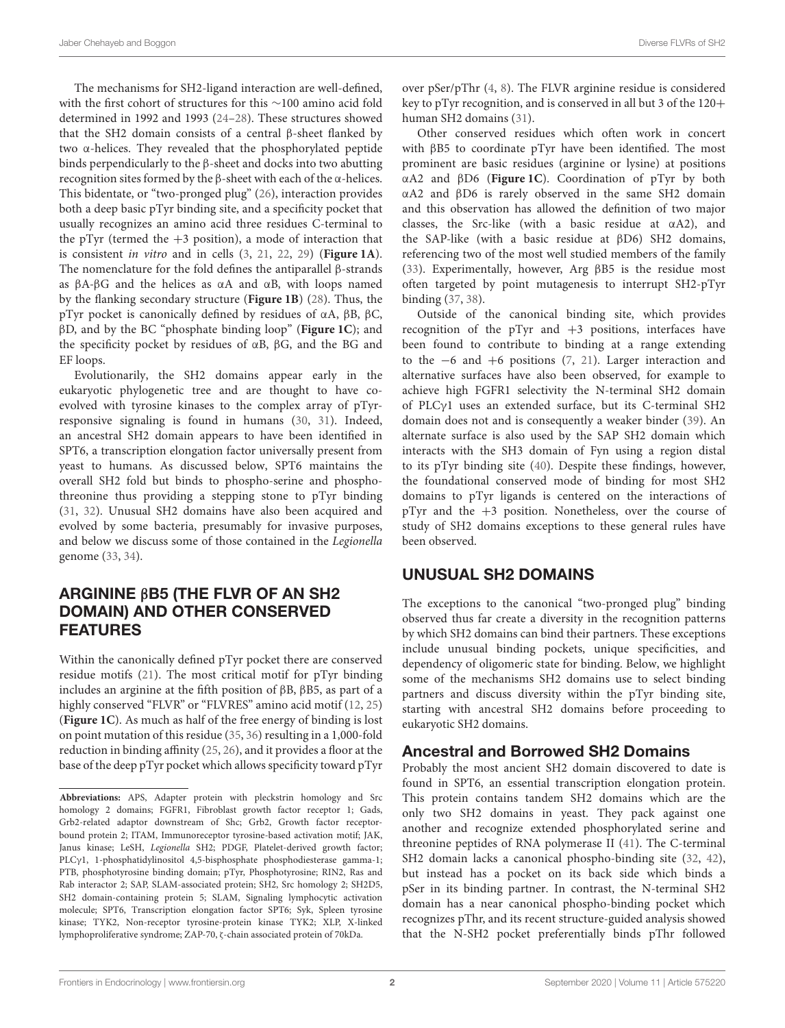The mechanisms for SH2-ligand interaction are well-defined, with the first cohort of structures for this ∼100 amino acid fold determined in 1992 and 1993 [\(24](#page-5-17)[–28\)](#page-5-18). These structures showed that the SH2 domain consists of a central β-sheet flanked by two α-helices. They revealed that the phosphorylated peptide binds perpendicularly to the β-sheet and docks into two abutting recognition sites formed by the β-sheet with each of the α-helices. This bidentate, or "two-pronged plug" [\(26\)](#page-5-19), interaction provides both a deep basic pTyr binding site, and a specificity pocket that usually recognizes an amino acid three residues C-terminal to the pTyr (termed the  $+3$  position), a mode of interaction that is consistent in vitro and in cells [\(3,](#page-5-1) [21,](#page-5-20) [22,](#page-5-14) [29\)](#page-5-21) (**[Figure 1A](#page-2-0)**). The nomenclature for the fold defines the antiparallel β-strands as βA-βG and the helices as αA and αB, with loops named by the flanking secondary structure (**[Figure 1B](#page-2-0)**) [\(28\)](#page-5-18). Thus, the pTyr pocket is canonically defined by residues of αA, βB, βC, βD, and by the BC "phosphate binding loop" (**[Figure 1C](#page-2-0)**); and the specificity pocket by residues of αB, βG, and the BG and EF loops.

Evolutionarily, the SH2 domains appear early in the eukaryotic phylogenetic tree and are thought to have coevolved with tyrosine kinases to the complex array of pTyrresponsive signaling is found in humans [\(30,](#page-5-22) [31\)](#page-5-23). Indeed, an ancestral SH2 domain appears to have been identified in SPT6, a transcription elongation factor universally present from yeast to humans. As discussed below, SPT6 maintains the overall SH2 fold but binds to phospho-serine and phosphothreonine thus providing a stepping stone to pTyr binding [\(31,](#page-5-23) [32\)](#page-5-24). Unusual SH2 domains have also been acquired and evolved by some bacteria, presumably for invasive purposes, and below we discuss some of those contained in the Legionella genome [\(33,](#page-5-25) [34\)](#page-5-26).

# ARGININE βB5 (THE FLVR OF AN SH2 DOMAIN) AND OTHER CONSERVED FEATURES

Within the canonically defined pTyr pocket there are conserved residue motifs [\(21\)](#page-5-20). The most critical motif for pTyr binding includes an arginine at the fifth position of βB, βB5, as part of a highly conserved "FLVR" or "FLVRES" amino acid motif [\(12,](#page-5-27) [25\)](#page-5-28) (**[Figure 1C](#page-2-0)**). As much as half of the free energy of binding is lost on point mutation of this residue [\(35,](#page-6-0) [36\)](#page-6-1) resulting in a 1,000-fold reduction in binding affinity [\(25,](#page-5-28) [26\)](#page-5-19), and it provides a floor at the base of the deep pTyr pocket which allows specificity toward pTyr over pSer/pThr [\(4,](#page-5-3) [8\)](#page-5-5). The FLVR arginine residue is considered key to pTyr recognition, and is conserved in all but 3 of the 120+ human SH2 domains [\(31\)](#page-5-23).

Other conserved residues which often work in concert with βB5 to coordinate pTyr have been identified. The most prominent are basic residues (arginine or lysine) at positions αA2 and βD6 (**[Figure 1C](#page-2-0)**). Coordination of pTyr by both αA2 and βD6 is rarely observed in the same SH2 domain and this observation has allowed the definition of two major classes, the Src-like (with a basic residue at αA2), and the SAP-like (with a basic residue at βD6) SH2 domains, referencing two of the most well studied members of the family [\(33\)](#page-5-25). Experimentally, however, Arg βB5 is the residue most often targeted by point mutagenesis to interrupt SH2-pTyr binding [\(37,](#page-6-2) [38\)](#page-6-3).

Outside of the canonical binding site, which provides recognition of the pTyr and  $+3$  positions, interfaces have been found to contribute to binding at a range extending to the −6 and +6 positions [\(7,](#page-5-29) [21\)](#page-5-20). Larger interaction and alternative surfaces have also been observed, for example to achieve high FGFR1 selectivity the N-terminal SH2 domain of PLCγ1 uses an extended surface, but its C-terminal SH2 domain does not and is consequently a weaker binder [\(39\)](#page-6-4). An alternate surface is also used by the SAP SH2 domain which interacts with the SH3 domain of Fyn using a region distal to its pTyr binding site [\(40\)](#page-6-5). Despite these findings, however, the foundational conserved mode of binding for most SH2 domains to pTyr ligands is centered on the interactions of pTyr and the +3 position. Nonetheless, over the course of study of SH2 domains exceptions to these general rules have been observed.

## UNUSUAL SH2 DOMAINS

The exceptions to the canonical "two-pronged plug" binding observed thus far create a diversity in the recognition patterns by which SH2 domains can bind their partners. These exceptions include unusual binding pockets, unique specificities, and dependency of oligomeric state for binding. Below, we highlight some of the mechanisms SH2 domains use to select binding partners and discuss diversity within the pTyr binding site, starting with ancestral SH2 domains before proceeding to eukaryotic SH2 domains.

#### Ancestral and Borrowed SH2 Domains

Probably the most ancient SH2 domain discovered to date is found in SPT6, an essential transcription elongation protein. This protein contains tandem SH2 domains which are the only two SH2 domains in yeast. They pack against one another and recognize extended phosphorylated serine and threonine peptides of RNA polymerase II [\(41\)](#page-6-6). The C-terminal SH2 domain lacks a canonical phospho-binding site [\(32,](#page-5-24) [42\)](#page-6-7), but instead has a pocket on its back side which binds a pSer in its binding partner. In contrast, the N-terminal SH2 domain has a near canonical phospho-binding pocket which recognizes pThr, and its recent structure-guided analysis showed that the N-SH2 pocket preferentially binds pThr followed

**Abbreviations:** APS, Adapter protein with pleckstrin homology and Src homology 2 domains; FGFR1, Fibroblast growth factor receptor 1; Gads, Grb2-related adaptor downstream of Shc; Grb2, Growth factor receptorbound protein 2; ITAM, Immunoreceptor tyrosine-based activation motif; JAK, Janus kinase; LeSH, Legionella SH2; PDGF, Platelet-derived growth factor; PLCγ1, 1-phosphatidylinositol 4,5-bisphosphate phosphodiesterase gamma-1; PTB, phosphotyrosine binding domain; pTyr, Phosphotyrosine; RIN2, Ras and Rab interactor 2; SAP, SLAM-associated protein; SH2, Src homology 2; SH2D5, SH2 domain-containing protein 5; SLAM, Signaling lymphocytic activation molecule; SPT6, Transcription elongation factor SPT6; Syk, Spleen tyrosine kinase; TYK2, Non-receptor tyrosine-protein kinase TYK2; XLP, X-linked lymphoproliferative syndrome; ZAP-70, ζ-chain associated protein of 70kDa.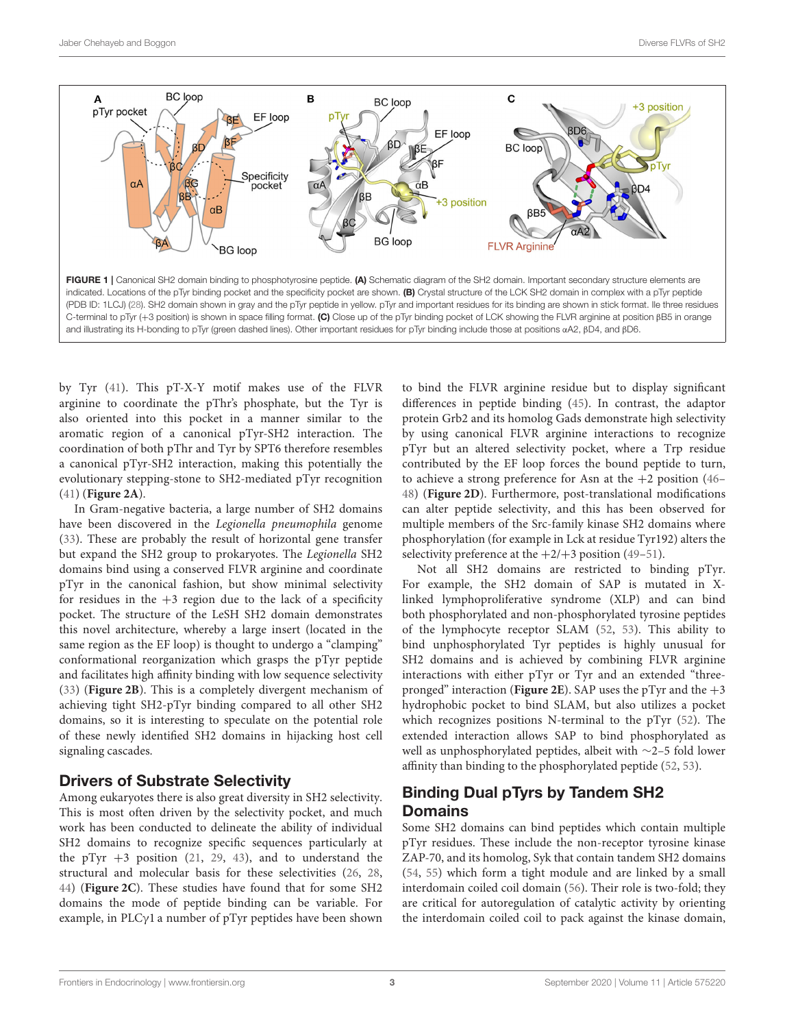

<span id="page-2-0"></span>by Tyr [\(41\)](#page-6-6). This pT-X-Y motif makes use of the FLVR arginine to coordinate the pThr's phosphate, but the Tyr is also oriented into this pocket in a manner similar to the aromatic region of a canonical pTyr-SH2 interaction. The coordination of both pThr and Tyr by SPT6 therefore resembles a canonical pTyr-SH2 interaction, making this potentially the evolutionary stepping-stone to SH2-mediated pTyr recognition [\(41\)](#page-6-6) (**[Figure 2A](#page-3-0)**).

In Gram-negative bacteria, a large number of SH2 domains have been discovered in the Legionella pneumophila genome [\(33\)](#page-5-25). These are probably the result of horizontal gene transfer but expand the SH2 group to prokaryotes. The Legionella SH2 domains bind using a conserved FLVR arginine and coordinate pTyr in the canonical fashion, but show minimal selectivity for residues in the  $+3$  region due to the lack of a specificity pocket. The structure of the LeSH SH2 domain demonstrates this novel architecture, whereby a large insert (located in the same region as the EF loop) is thought to undergo a "clamping" conformational reorganization which grasps the pTyr peptide and facilitates high affinity binding with low sequence selectivity [\(33\)](#page-5-25) (**[Figure 2B](#page-3-0)**). This is a completely divergent mechanism of achieving tight SH2-pTyr binding compared to all other SH2 domains, so it is interesting to speculate on the potential role of these newly identified SH2 domains in hijacking host cell signaling cascades.

## Drivers of Substrate Selectivity

Among eukaryotes there is also great diversity in SH2 selectivity. This is most often driven by the selectivity pocket, and much work has been conducted to delineate the ability of individual SH2 domains to recognize specific sequences particularly at the pTyr  $+3$  position [\(21,](#page-5-20) [29,](#page-5-21) [43\)](#page-6-8), and to understand the structural and molecular basis for these selectivities [\(26,](#page-5-19) [28,](#page-5-18) [44\)](#page-6-9) (**[Figure 2C](#page-3-0)**). These studies have found that for some SH2 domains the mode of peptide binding can be variable. For example, in PLCγ1 a number of pTyr peptides have been shown to bind the FLVR arginine residue but to display significant differences in peptide binding [\(45\)](#page-6-10). In contrast, the adaptor protein Grb2 and its homolog Gads demonstrate high selectivity by using canonical FLVR arginine interactions to recognize pTyr but an altered selectivity pocket, where a Trp residue contributed by the EF loop forces the bound peptide to turn, to achieve a strong preference for Asn at the  $+2$  position [\(46–](#page-6-11) [48\)](#page-6-12) (**[Figure 2D](#page-3-0)**). Furthermore, post-translational modifications can alter peptide selectivity, and this has been observed for multiple members of the Src-family kinase SH2 domains where phosphorylation (for example in Lck at residue Tyr192) alters the selectivity preference at the  $+2/+3$  position [\(49](#page-6-13)-51).

Not all SH2 domains are restricted to binding pTyr. For example, the SH2 domain of SAP is mutated in Xlinked lymphoproliferative syndrome (XLP) and can bind both phosphorylated and non-phosphorylated tyrosine peptides of the lymphocyte receptor SLAM [\(52,](#page-6-15) [53\)](#page-6-16). This ability to bind unphosphorylated Tyr peptides is highly unusual for SH2 domains and is achieved by combining FLVR arginine interactions with either pTyr or Tyr and an extended "threepronged" interaction (**[Figure 2E](#page-3-0)**). SAP uses the pTyr and the  $+3$ hydrophobic pocket to bind SLAM, but also utilizes a pocket which recognizes positions N-terminal to the pTyr [\(52\)](#page-6-15). The extended interaction allows SAP to bind phosphorylated as well as unphosphorylated peptides, albeit with ∼2–5 fold lower affinity than binding to the phosphorylated peptide [\(52,](#page-6-15) [53\)](#page-6-16).

# Binding Dual pTyrs by Tandem SH2 Domains

Some SH2 domains can bind peptides which contain multiple pTyr residues. These include the non-receptor tyrosine kinase ZAP-70, and its homolog, Syk that contain tandem SH2 domains [\(54,](#page-6-17) [55\)](#page-6-18) which form a tight module and are linked by a small interdomain coiled coil domain [\(56\)](#page-6-19). Their role is two-fold; they are critical for autoregulation of catalytic activity by orienting the interdomain coiled coil to pack against the kinase domain,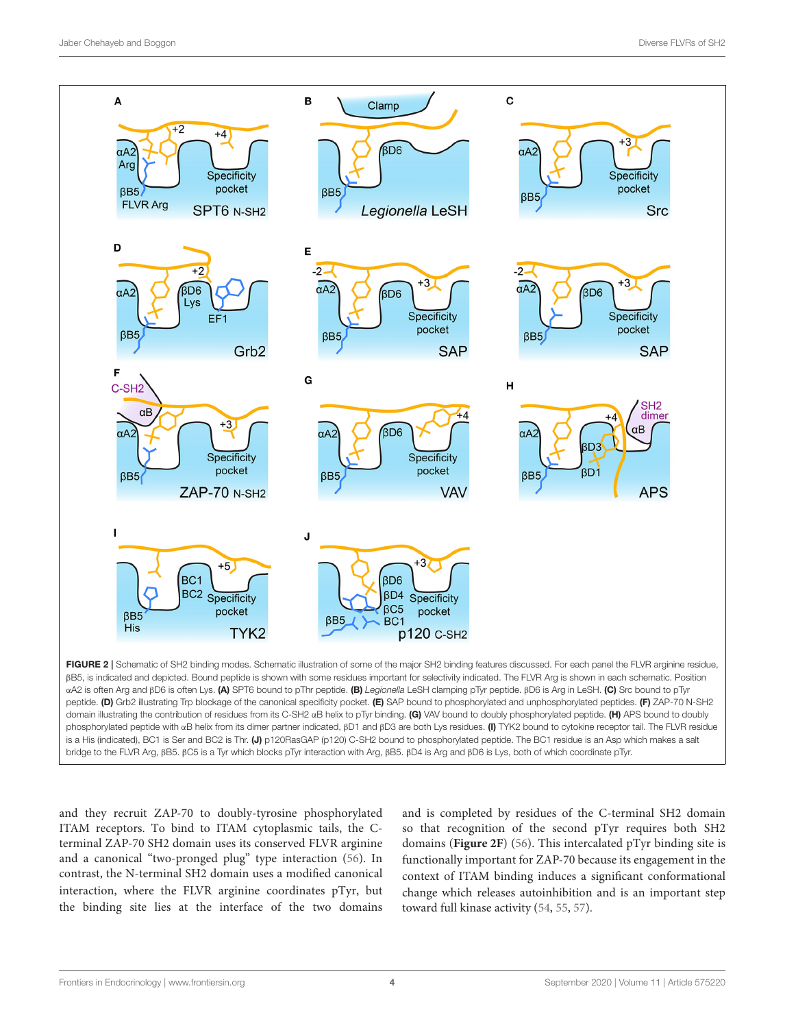

<span id="page-3-0"></span>phosphorylated peptide with αB helix from its dimer partner indicated, βD1 and βD3 are both Lys residues. (I) TYK2 bound to cytokine receptor tail. The FLVR residue is a His (indicated), BC1 is Ser and BC2 is Thr. (J) p120RasGAP (p120) C-SH2 bound to phosphorylated peptide. The BC1 residue is an Asp which makes a salt bridge to the FLVR Arg, βB5. βC5 is a Tyr which blocks pTyr interaction with Arg, βB5. βD4 is Arg and βD6 is Lys, both of which coordinate pTyr.

and they recruit ZAP-70 to doubly-tyrosine phosphorylated ITAM receptors. To bind to ITAM cytoplasmic tails, the Cterminal ZAP-70 SH2 domain uses its conserved FLVR arginine and a canonical "two-pronged plug" type interaction [\(56\)](#page-6-19). In contrast, the N-terminal SH2 domain uses a modified canonical interaction, where the FLVR arginine coordinates pTyr, but the binding site lies at the interface of the two domains and is completed by residues of the C-terminal SH2 domain so that recognition of the second pTyr requires both SH2 domains (**[Figure 2F](#page-3-0)**) [\(56\)](#page-6-19). This intercalated pTyr binding site is functionally important for ZAP-70 because its engagement in the context of ITAM binding induces a significant conformational change which releases autoinhibition and is an important step toward full kinase activity [\(54,](#page-6-17) [55,](#page-6-18) [57\)](#page-6-20).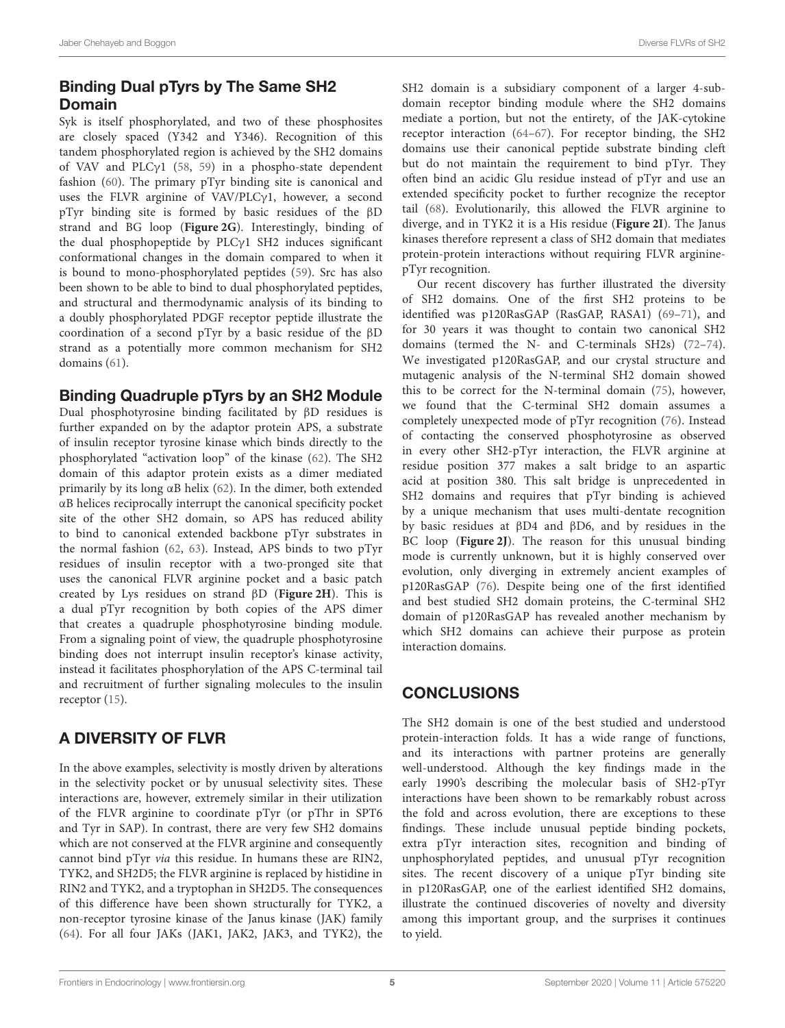# Binding Dual pTyrs by The Same SH2 Domain

Syk is itself phosphorylated, and two of these phosphosites are closely spaced (Y342 and Y346). Recognition of this tandem phosphorylated region is achieved by the SH2 domains of VAV and PLCγ1 [\(58,](#page-6-21) [59\)](#page-6-22) in a phospho-state dependent fashion [\(60\)](#page-6-23). The primary pTyr binding site is canonical and uses the FLVR arginine of VAV/PLCγ1, however, a second pTyr binding site is formed by basic residues of the βD strand and BG loop (**[Figure 2G](#page-3-0)**). Interestingly, binding of the dual phosphopeptide by PLCγ1 SH2 induces significant conformational changes in the domain compared to when it is bound to mono-phosphorylated peptides [\(59\)](#page-6-22). Src has also been shown to be able to bind to dual phosphorylated peptides, and structural and thermodynamic analysis of its binding to a doubly phosphorylated PDGF receptor peptide illustrate the coordination of a second pTyr by a basic residue of the βD strand as a potentially more common mechanism for SH2 domains [\(61\)](#page-6-24).

## Binding Quadruple pTyrs by an SH2 Module

Dual phosphotyrosine binding facilitated by βD residues is further expanded on by the adaptor protein APS, a substrate of insulin receptor tyrosine kinase which binds directly to the phosphorylated "activation loop" of the kinase [\(62\)](#page-6-25). The SH2 domain of this adaptor protein exists as a dimer mediated primarily by its long αB helix [\(62\)](#page-6-25). In the dimer, both extended αB helices reciprocally interrupt the canonical specificity pocket site of the other SH2 domain, so APS has reduced ability to bind to canonical extended backbone pTyr substrates in the normal fashion [\(62,](#page-6-25) [63\)](#page-6-26). Instead, APS binds to two pTyr residues of insulin receptor with a two-pronged site that uses the canonical FLVR arginine pocket and a basic patch created by Lys residues on strand βD (**[Figure 2H](#page-3-0)**). This is a dual pTyr recognition by both copies of the APS dimer that creates a quadruple phosphotyrosine binding module. From a signaling point of view, the quadruple phosphotyrosine binding does not interrupt insulin receptor's kinase activity, instead it facilitates phosphorylation of the APS C-terminal tail and recruitment of further signaling molecules to the insulin receptor [\(15\)](#page-5-11).

# A DIVERSITY OF FLVR

In the above examples, selectivity is mostly driven by alterations in the selectivity pocket or by unusual selectivity sites. These interactions are, however, extremely similar in their utilization of the FLVR arginine to coordinate pTyr (or pThr in SPT6 and Tyr in SAP). In contrast, there are very few SH2 domains which are not conserved at the FLVR arginine and consequently cannot bind pTyr via this residue. In humans these are RIN2, TYK2, and SH2D5; the FLVR arginine is replaced by histidine in RIN2 and TYK2, and a tryptophan in SH2D5. The consequences of this difference have been shown structurally for TYK2, a non-receptor tyrosine kinase of the Janus kinase (JAK) family [\(64\)](#page-6-27). For all four JAKs (JAK1, JAK2, JAK3, and TYK2), the SH2 domain is a subsidiary component of a larger 4-subdomain receptor binding module where the SH2 domains mediate a portion, but not the entirety, of the JAK-cytokine receptor interaction [\(64–](#page-6-27)[67\)](#page-6-28). For receptor binding, the SH2 domains use their canonical peptide substrate binding cleft but do not maintain the requirement to bind pTyr. They often bind an acidic Glu residue instead of pTyr and use an extended specificity pocket to further recognize the receptor tail [\(68\)](#page-6-29). Evolutionarily, this allowed the FLVR arginine to diverge, and in TYK2 it is a His residue (**[Figure 2I](#page-3-0)**). The Janus kinases therefore represent a class of SH2 domain that mediates protein-protein interactions without requiring FLVR argininepTyr recognition.

Our recent discovery has further illustrated the diversity of SH2 domains. One of the first SH2 proteins to be identified was p120RasGAP (RasGAP, RASA1) [\(69–](#page-6-30)[71\)](#page-6-31), and for 30 years it was thought to contain two canonical SH2 domains (termed the N- and C-terminals SH2s) [\(72–](#page-6-32)[74\)](#page-7-0). We investigated p120RasGAP, and our crystal structure and mutagenic analysis of the N-terminal SH2 domain showed this to be correct for the N-terminal domain [\(75\)](#page-7-1), however, we found that the C-terminal SH2 domain assumes a completely unexpected mode of pTyr recognition [\(76\)](#page-7-2). Instead of contacting the conserved phosphotyrosine as observed in every other SH2-pTyr interaction, the FLVR arginine at residue position 377 makes a salt bridge to an aspartic acid at position 380. This salt bridge is unprecedented in SH2 domains and requires that pTyr binding is achieved by a unique mechanism that uses multi-dentate recognition by basic residues at βD4 and βD6, and by residues in the BC loop (**[Figure 2J](#page-3-0)**). The reason for this unusual binding mode is currently unknown, but it is highly conserved over evolution, only diverging in extremely ancient examples of p120RasGAP [\(76\)](#page-7-2). Despite being one of the first identified and best studied SH2 domain proteins, the C-terminal SH2 domain of p120RasGAP has revealed another mechanism by which SH2 domains can achieve their purpose as protein interaction domains.

# **CONCLUSIONS**

The SH2 domain is one of the best studied and understood protein-interaction folds. It has a wide range of functions, and its interactions with partner proteins are generally well-understood. Although the key findings made in the early 1990's describing the molecular basis of SH2-pTyr interactions have been shown to be remarkably robust across the fold and across evolution, there are exceptions to these findings. These include unusual peptide binding pockets, extra pTyr interaction sites, recognition and binding of unphosphorylated peptides, and unusual pTyr recognition sites. The recent discovery of a unique pTyr binding site in p120RasGAP, one of the earliest identified SH2 domains, illustrate the continued discoveries of novelty and diversity among this important group, and the surprises it continues to yield.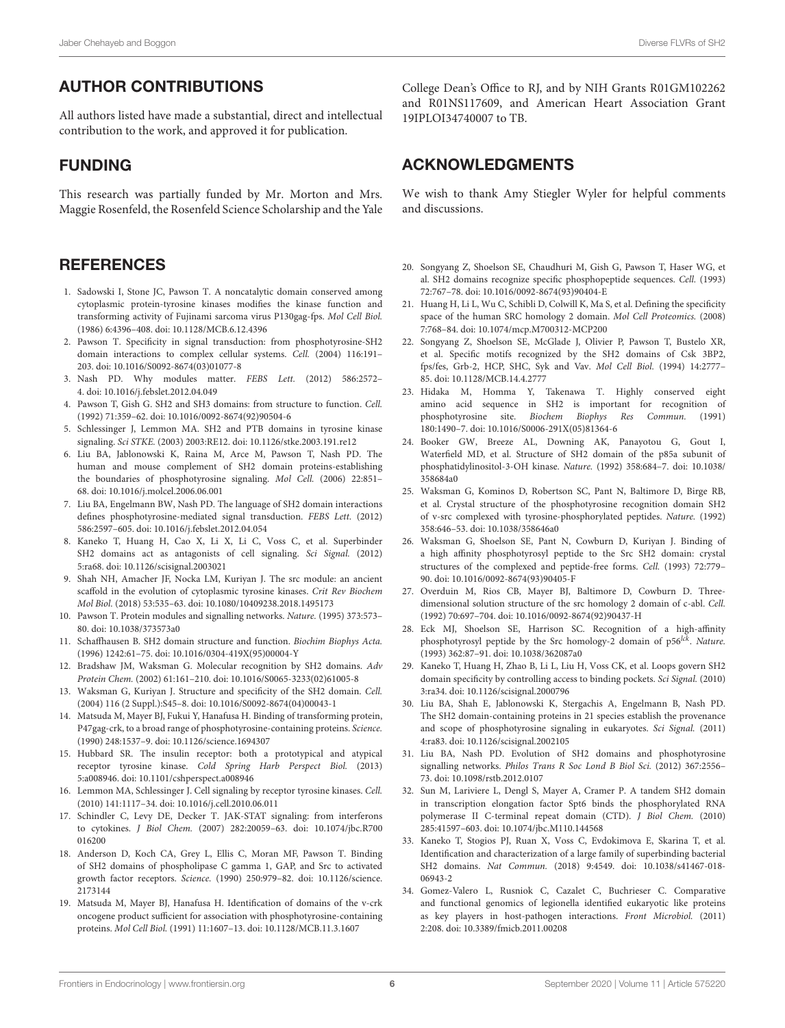# AUTHOR CONTRIBUTIONS

All authors listed have made a substantial, direct and intellectual contribution to the work, and approved it for publication.

## FUNDING

This research was partially funded by Mr. Morton and Mrs. Maggie Rosenfeld, the Rosenfeld Science Scholarship and the Yale

#### **REFERENCES**

- <span id="page-5-0"></span>1. Sadowski I, Stone JC, Pawson T. A noncatalytic domain conserved among cytoplasmic protein-tyrosine kinases modifies the kinase function and transforming activity of Fujinami sarcoma virus P130gag-fps. Mol Cell Biol. (1986) 6:4396–408. doi: [10.1128/MCB.6.12.4396](https://doi.org/10.1128/MCB.6.12.4396)
- <span id="page-5-2"></span>2. Pawson T. Specificity in signal transduction: from phosphotyrosine-SH2 domain interactions to complex cellular systems. Cell. (2004) 116:191– 203. doi: [10.1016/S0092-8674\(03\)01077-8](https://doi.org/10.1016/S0092-8674(03)01077-8)
- <span id="page-5-1"></span>3. Nash PD. Why modules matter. FEBS Lett. (2012) 586:2572– 4. doi: [10.1016/j.febslet.2012.04.049](https://doi.org/10.1016/j.febslet.2012.04.049)
- <span id="page-5-3"></span>4. Pawson T, Gish G. SH2 and SH3 domains: from structure to function. Cell. (1992) 71:359–62. doi: [10.1016/0092-8674\(92\)90504-6](https://doi.org/10.1016/0092-8674(92)90504-6)
- <span id="page-5-4"></span>5. Schlessinger J, Lemmon MA. SH2 and PTB domains in tyrosine kinase signaling. Sci STKE. (2003) 2003:RE12. doi: [10.1126/stke.2003.191.re12](https://doi.org/10.1126/stke.2003.191.re12)
- 6. Liu BA, Jablonowski K, Raina M, Arce M, Pawson T, Nash PD. The human and mouse complement of SH2 domain proteins-establishing the boundaries of phosphotyrosine signaling. Mol Cell. (2006) 22:851– 68. doi: [10.1016/j.molcel.2006.06.001](https://doi.org/10.1016/j.molcel.2006.06.001)
- <span id="page-5-29"></span>7. Liu BA, Engelmann BW, Nash PD. The language of SH2 domain interactions defines phosphotyrosine-mediated signal transduction. FEBS Lett. (2012) 586:2597–605. doi: [10.1016/j.febslet.2012.04.054](https://doi.org/10.1016/j.febslet.2012.04.054)
- <span id="page-5-5"></span>8. Kaneko T, Huang H, Cao X, Li X, Li C, Voss C, et al. Superbinder SH2 domains act as antagonists of cell signaling. Sci Signal. (2012) 5:ra68. doi: [10.1126/scisignal.2003021](https://doi.org/10.1126/scisignal.2003021)
- <span id="page-5-6"></span>9. Shah NH, Amacher JF, Nocka LM, Kuriyan J. The src module: an ancient scaffold in the evolution of cytoplasmic tyrosine kinases. Crit Rev Biochem Mol Biol. (2018) 53:535–63. doi: [10.1080/10409238.2018.1495173](https://doi.org/10.1080/10409238.2018.1495173)
- <span id="page-5-7"></span>10. Pawson T. Protein modules and signalling networks. Nature. (1995) 373:573– 80. doi: [10.1038/373573a0](https://doi.org/10.1038/373573a0)
- <span id="page-5-8"></span>11. Schaffhausen B. SH2 domain structure and function. Biochim Biophys Acta. (1996) 1242:61–75. doi: [10.1016/0304-419X\(95\)00004-Y](https://doi.org/10.1016/0304-419X(95)00004-Y)
- <span id="page-5-27"></span>12. Bradshaw JM, Waksman G. Molecular recognition by SH2 domains. Adv Protein Chem. (2002) 61:161–210. doi: [10.1016/S0065-3233\(02\)61005-8](https://doi.org/10.1016/S0065-3233(02)61005-8)
- <span id="page-5-9"></span>13. Waksman G, Kuriyan J. Structure and specificity of the SH2 domain. Cell. (2004) 116 (2 Suppl.):S45–8. doi: [10.1016/S0092-8674\(04\)00043-1](https://doi.org/10.1016/S0092-8674(04)00043-1)
- <span id="page-5-10"></span>14. Matsuda M, Mayer BJ, Fukui Y, Hanafusa H. Binding of transforming protein, P47gag-crk, to a broad range of phosphotyrosine-containing proteins. Science. (1990) 248:1537–9. doi: [10.1126/science.1694307](https://doi.org/10.1126/science.1694307)
- <span id="page-5-11"></span>15. Hubbard SR. The insulin receptor: both a prototypical and atypical receptor tyrosine kinase. Cold Spring Harb Perspect Biol. (2013) 5:a008946. doi: [10.1101/cshperspect.a008946](https://doi.org/10.1101/cshperspect.a008946)
- 16. Lemmon MA, Schlessinger J. Cell signaling by receptor tyrosine kinases. Cell. (2010) 141:1117–34. doi: [10.1016/j.cell.2010.06.011](https://doi.org/10.1016/j.cell.2010.06.011)
- 17. Schindler C, Levy DE, Decker T. JAK-STAT signaling: from interferons to cytokines. J Biol Chem. [\(2007\) 282:20059–63. doi: 10.1074/jbc.R700](https://doi.org/10.1074/jbc.R700016200) 016200
- <span id="page-5-12"></span>18. Anderson D, Koch CA, Grey L, Ellis C, Moran MF, Pawson T. Binding of SH2 domains of phospholipase C gamma 1, GAP, and Src to activated growth factor receptors. Science. [\(1990\) 250:979–82. doi: 10.1126/science.](https://doi.org/10.1126/science.2173144) 2173144
- <span id="page-5-13"></span>19. Matsuda M, Mayer BJ, Hanafusa H. Identification of domains of the v-crk oncogene product sufficient for association with phosphotyrosine-containing proteins. Mol Cell Biol. (1991) 11:1607–13. doi: [10.1128/MCB.11.3.1607](https://doi.org/10.1128/MCB.11.3.1607)

College Dean's Office to RJ, and by NIH Grants R01GM102262 and R01NS117609, and American Heart Association Grant 19IPLOI34740007 to TB.

## ACKNOWLEDGMENTS

We wish to thank Amy Stiegler Wyler for helpful comments and discussions.

- <span id="page-5-15"></span>20. Songyang Z, Shoelson SE, Chaudhuri M, Gish G, Pawson T, Haser WG, et al. SH2 domains recognize specific phosphopeptide sequences. Cell. (1993) 72:767–78. doi: [10.1016/0092-8674\(93\)90404-E](https://doi.org/10.1016/0092-8674(93)90404-E)
- <span id="page-5-20"></span>21. Huang H, Li L, Wu C, Schibli D, Colwill K, Ma S, et al. Defining the specificity space of the human SRC homology 2 domain. Mol Cell Proteomics. (2008) 7:768–84. doi: [10.1074/mcp.M700312-MCP200](https://doi.org/10.1074/mcp.M700312-MCP200)
- <span id="page-5-14"></span>22. Songyang Z, Shoelson SE, McGlade J, Olivier P, Pawson T, Bustelo XR, et al. Specific motifs recognized by the SH2 domains of Csk 3BP2, fps/fes, Grb-2, HCP, SHC, Syk and Vav. Mol Cell Biol. (1994) 14:2777– 85. doi: [10.1128/MCB.14.4.2777](https://doi.org/10.1128/MCB.14.4.2777)
- <span id="page-5-16"></span>23. Hidaka M, Homma Y, Takenawa T. Highly conserved eight amino acid sequence in SH2 is important for recognition of phosphotyrosine site. Biochem Biophys Res Commun. (1991) 180:1490–7. doi: [10.1016/S0006-291X\(05\)81364-6](https://doi.org/10.1016/S0006-291X(05)81364-6)
- <span id="page-5-17"></span>24. Booker GW, Breeze AL, Downing AK, Panayotou G, Gout I, Waterfield MD, et al. Structure of SH2 domain of the p85a subunit of [phosphatidylinositol-3-OH kinase.](https://doi.org/10.1038/358684a0) Nature. (1992) 358:684–7. doi: 10.1038/ 358684a0
- <span id="page-5-28"></span>25. Waksman G, Kominos D, Robertson SC, Pant N, Baltimore D, Birge RB, et al. Crystal structure of the phosphotyrosine recognition domain SH2 of v-src complexed with tyrosine-phosphorylated peptides. Nature. (1992) 358:646–53. doi: [10.1038/358646a0](https://doi.org/10.1038/358646a0)
- <span id="page-5-19"></span>26. Waksman G, Shoelson SE, Pant N, Cowburn D, Kuriyan J. Binding of a high affinity phosphotyrosyl peptide to the Src SH2 domain: crystal structures of the complexed and peptide-free forms. Cell. (1993) 72:779– 90. doi: [10.1016/0092-8674\(93\)90405-F](https://doi.org/10.1016/0092-8674(93)90405-F)
- 27. Overduin M, Rios CB, Mayer BJ, Baltimore D, Cowburn D. Threedimensional solution structure of the src homology 2 domain of c-abl. Cell. (1992) 70:697–704. doi: [10.1016/0092-8674\(92\)90437-H](https://doi.org/10.1016/0092-8674(92)90437-H)
- <span id="page-5-18"></span>28. Eck MJ, Shoelson SE, Harrison SC. Recognition of a high-affinity phosphotyrosyl peptide by the Src homology-2 domain of p56<sup>lck</sup>. Nature. (1993) 362:87–91. doi: [10.1038/362087a0](https://doi.org/10.1038/362087a0)
- <span id="page-5-21"></span>29. Kaneko T, Huang H, Zhao B, Li L, Liu H, Voss CK, et al. Loops govern SH2 domain specificity by controlling access to binding pockets. Sci Signal. (2010) 3:ra34. doi: [10.1126/scisignal.2000796](https://doi.org/10.1126/scisignal.2000796)
- <span id="page-5-22"></span>30. Liu BA, Shah E, Jablonowski K, Stergachis A, Engelmann B, Nash PD. The SH2 domain-containing proteins in 21 species establish the provenance and scope of phosphotyrosine signaling in eukaryotes. Sci Signal. (2011) 4:ra83. doi: [10.1126/scisignal.2002105](https://doi.org/10.1126/scisignal.2002105)
- <span id="page-5-23"></span>31. Liu BA, Nash PD. Evolution of SH2 domains and phosphotyrosine signalling networks. Philos Trans R Soc Lond B Biol Sci. (2012) 367:2556– 73. doi: [10.1098/rstb.2012.0107](https://doi.org/10.1098/rstb.2012.0107)
- <span id="page-5-24"></span>32. Sun M, Lariviere L, Dengl S, Mayer A, Cramer P. A tandem SH2 domain in transcription elongation factor Spt6 binds the phosphorylated RNA polymerase II C-terminal repeat domain (CTD). J Biol Chem. (2010) 285:41597–603. doi: [10.1074/jbc.M110.144568](https://doi.org/10.1074/jbc.M110.144568)
- <span id="page-5-25"></span>33. Kaneko T, Stogios PJ, Ruan X, Voss C, Evdokimova E, Skarina T, et al. Identification and characterization of a large family of superbinding bacterial SH2 domains. Nat Commun. [\(2018\) 9:4549. doi: 10.1038/s41467-018-](https://doi.org/10.1038/s41467-018-06943-2) 06943-2
- <span id="page-5-26"></span>34. Gomez-Valero L, Rusniok C, Cazalet C, Buchrieser C. Comparative and functional genomics of legionella identified eukaryotic like proteins as key players in host-pathogen interactions. Front Microbiol. (2011) 2:208. doi: [10.3389/fmicb.2011.00208](https://doi.org/10.3389/fmicb.2011.00208)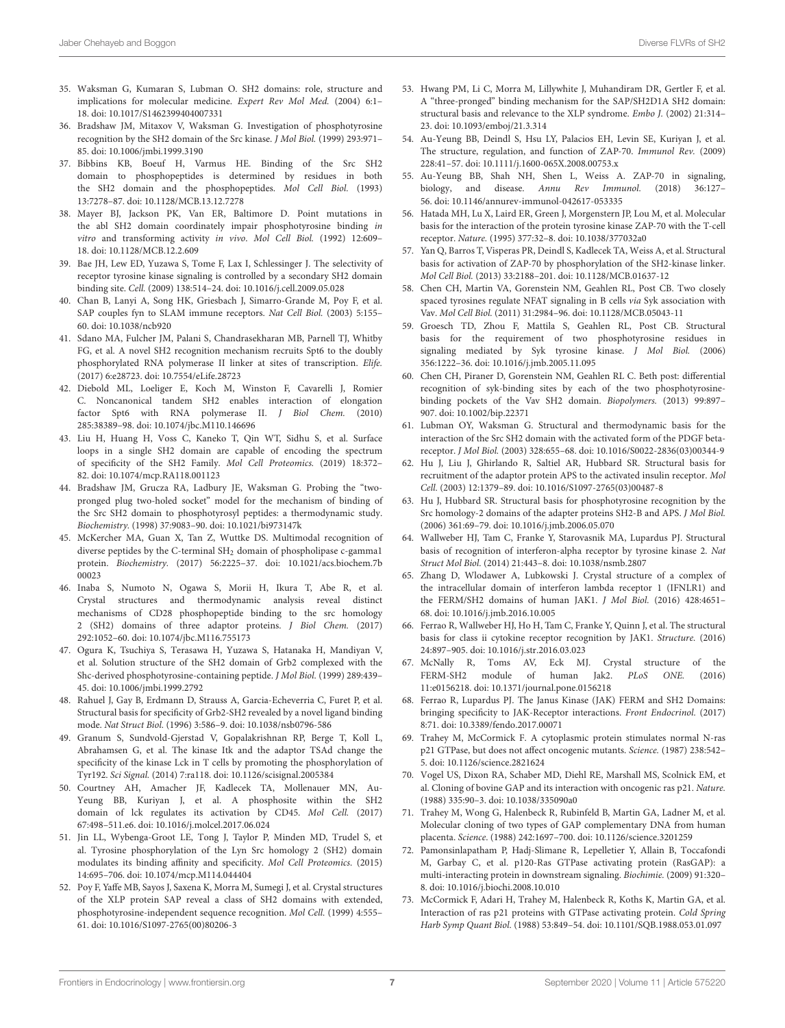- <span id="page-6-0"></span>35. Waksman G, Kumaran S, Lubman O. SH2 domains: role, structure and implications for molecular medicine. Expert Rev Mol Med. (2004) 6:1– 18. doi: [10.1017/S1462399404007331](https://doi.org/10.1017/S1462399404007331)
- <span id="page-6-1"></span>36. Bradshaw JM, Mitaxov V, Waksman G. Investigation of phosphotyrosine recognition by the SH2 domain of the Src kinase. J Mol Biol. (1999) 293:971– 85. doi: [10.1006/jmbi.1999.3190](https://doi.org/10.1006/jmbi.1999.3190)
- <span id="page-6-2"></span>37. Bibbins KB, Boeuf H, Varmus HE. Binding of the Src SH2 domain to phosphopeptides is determined by residues in both the SH2 domain and the phosphopeptides. Mol Cell Biol. (1993) 13:7278–87. doi: [10.1128/MCB.13.12.7278](https://doi.org/10.1128/MCB.13.12.7278)
- <span id="page-6-3"></span>38. Mayer BJ, Jackson PK, Van ER, Baltimore D. Point mutations in the abl SH2 domain coordinately impair phosphotyrosine binding in vitro and transforming activity in vivo. Mol Cell Biol. (1992) 12:609– 18. doi: [10.1128/MCB.12.2.609](https://doi.org/10.1128/MCB.12.2.609)
- <span id="page-6-4"></span>39. Bae JH, Lew ED, Yuzawa S, Tome F, Lax I, Schlessinger J. The selectivity of receptor tyrosine kinase signaling is controlled by a secondary SH2 domain binding site. Cell. (2009) 138:514–24. doi: [10.1016/j.cell.2009.05.028](https://doi.org/10.1016/j.cell.2009.05.028)
- <span id="page-6-5"></span>40. Chan B, Lanyi A, Song HK, Griesbach J, Simarro-Grande M, Poy F, et al. SAP couples fyn to SLAM immune receptors. Nat Cell Biol. (2003) 5:155– 60. doi: [10.1038/ncb920](https://doi.org/10.1038/ncb920)
- <span id="page-6-6"></span>41. Sdano MA, Fulcher JM, Palani S, Chandrasekharan MB, Parnell TJ, Whitby FG, et al. A novel SH2 recognition mechanism recruits Spt6 to the doubly phosphorylated RNA polymerase II linker at sites of transcription. Elife. (2017) 6:e28723. doi: [10.7554/eLife.28723](https://doi.org/10.7554/eLife.28723)
- <span id="page-6-7"></span>42. Diebold ML, Loeliger E, Koch M, Winston F, Cavarelli J, Romier C. Noncanonical tandem SH2 enables interaction of elongation factor Spt6 with RNA polymerase II. J Biol Chem. (2010) 285:38389–98. doi: [10.1074/jbc.M110.146696](https://doi.org/10.1074/jbc.M110.146696)
- <span id="page-6-8"></span>43. Liu H, Huang H, Voss C, Kaneko T, Qin WT, Sidhu S, et al. Surface loops in a single SH2 domain are capable of encoding the spectrum of specificity of the SH2 Family. Mol Cell Proteomics. (2019) 18:372– 82. doi: [10.1074/mcp.RA118.001123](https://doi.org/10.1074/mcp.RA118.001123)
- <span id="page-6-9"></span>44. Bradshaw JM, Grucza RA, Ladbury JE, Waksman G. Probing the "twopronged plug two-holed socket" model for the mechanism of binding of the Src SH2 domain to phosphotyrosyl peptides: a thermodynamic study. Biochemistry. (1998) 37:9083–90. doi: [10.1021/bi973147k](https://doi.org/10.1021/bi973147k)
- <span id="page-6-10"></span>45. McKercher MA, Guan X, Tan Z, Wuttke DS. Multimodal recognition of diverse peptides by the C-terminal SH<sup>2</sup> domain of phospholipase c-gamma1 protein. Biochemistry. [\(2017\) 56:2225–37. doi: 10.1021/acs.biochem.7b](https://doi.org/10.1021/acs.biochem.7b00023) 00023
- <span id="page-6-11"></span>46. Inaba S, Numoto N, Ogawa S, Morii H, Ikura T, Abe R, et al. Crystal structures and thermodynamic analysis reveal distinct mechanisms of CD28 phosphopeptide binding to the src homology 2 (SH2) domains of three adaptor proteins. J Biol Chem. (2017) 292:1052–60. doi: [10.1074/jbc.M116.755173](https://doi.org/10.1074/jbc.M116.755173)
- 47. Ogura K, Tsuchiya S, Terasawa H, Yuzawa S, Hatanaka H, Mandiyan V, et al. Solution structure of the SH2 domain of Grb2 complexed with the Shc-derived phosphotyrosine-containing peptide. J Mol Biol. (1999) 289:439– 45. doi: [10.1006/jmbi.1999.2792](https://doi.org/10.1006/jmbi.1999.2792)
- <span id="page-6-12"></span>48. Rahuel J, Gay B, Erdmann D, Strauss A, Garcia-Echeverria C, Furet P, et al. Structural basis for specificity of Grb2-SH2 revealed by a novel ligand binding mode. Nat Struct Biol. (1996) 3:586–9. doi: [10.1038/nsb0796-586](https://doi.org/10.1038/nsb0796-586)
- <span id="page-6-13"></span>49. Granum S, Sundvold-Gjerstad V, Gopalakrishnan RP, Berge T, Koll L, Abrahamsen G, et al. The kinase Itk and the adaptor TSAd change the specificity of the kinase Lck in T cells by promoting the phosphorylation of Tyr192. Sci Signal. (2014) 7:ra118. doi: [10.1126/scisignal.2005384](https://doi.org/10.1126/scisignal.2005384)
- 50. Courtney AH, Amacher JF, Kadlecek TA, Mollenauer MN, Au-Yeung BB, Kuriyan J, et al. A phosphosite within the SH2 domain of lck regulates its activation by CD45. Mol Cell. (2017) 67:498–511.e6. doi: [10.1016/j.molcel.2017.06.024](https://doi.org/10.1016/j.molcel.2017.06.024)
- <span id="page-6-14"></span>51. Jin LL, Wybenga-Groot LE, Tong J, Taylor P, Minden MD, Trudel S, et al. Tyrosine phosphorylation of the Lyn Src homology 2 (SH2) domain modulates its binding affinity and specificity. Mol Cell Proteomics. (2015) 14:695–706. doi: [10.1074/mcp.M114.044404](https://doi.org/10.1074/mcp.M114.044404)
- <span id="page-6-15"></span>52. Poy F, Yaffe MB, Sayos J, Saxena K, Morra M, Sumegi J, et al. Crystal structures of the XLP protein SAP reveal a class of SH2 domains with extended, phosphotyrosine-independent sequence recognition. Mol Cell. (1999) 4:555– 61. doi: [10.1016/S1097-2765\(00\)80206-3](https://doi.org/10.1016/S1097-2765(00)80206-3)
- <span id="page-6-16"></span>53. Hwang PM, Li C, Morra M, Lillywhite J, Muhandiram DR, Gertler F, et al. A "three-pronged" binding mechanism for the SAP/SH2D1A SH2 domain: structural basis and relevance to the XLP syndrome. Embo J. (2002) 21:314– 23. doi: [10.1093/emboj/21.3.314](https://doi.org/10.1093/emboj/21.3.314)
- <span id="page-6-17"></span>54. Au-Yeung BB, Deindl S, Hsu LY, Palacios EH, Levin SE, Kuriyan J, et al. The structure, regulation, and function of ZAP-70. Immunol Rev. (2009) 228:41–57. doi: [10.1111/j.1600-065X.2008.00753.x](https://doi.org/10.1111/j.1600-065X.2008.00753.x)
- <span id="page-6-18"></span>55. Au-Yeung BB, Shah NH, Shen L, Weiss A. ZAP-70 in signaling, biology, and disease. Annu Rev Immunol. (2018) 36:127– 56. doi: [10.1146/annurev-immunol-042617-053335](https://doi.org/10.1146/annurev-immunol-042617-053335)
- <span id="page-6-19"></span>56. Hatada MH, Lu X, Laird ER, Green J, Morgenstern JP, Lou M, et al. Molecular basis for the interaction of the protein tyrosine kinase ZAP-70 with the T-cell receptor. Nature. (1995) 377:32–8. doi: [10.1038/377032a0](https://doi.org/10.1038/377032a0)
- <span id="page-6-20"></span>57. Yan Q, Barros T, Visperas PR, Deindl S, Kadlecek TA, Weiss A, et al. Structural basis for activation of ZAP-70 by phosphorylation of the SH2-kinase linker. Mol Cell Biol. (2013) 33:2188–201. doi: [10.1128/MCB.01637-12](https://doi.org/10.1128/MCB.01637-12)
- <span id="page-6-21"></span>58. Chen CH, Martin VA, Gorenstein NM, Geahlen RL, Post CB. Two closely spaced tyrosines regulate NFAT signaling in B cells via Syk association with Vav. Mol Cell Biol. (2011) 31:2984–96. doi: [10.1128/MCB.05043-11](https://doi.org/10.1128/MCB.05043-11)
- <span id="page-6-22"></span>59. Groesch TD, Zhou F, Mattila S, Geahlen RL, Post CB. Structural basis for the requirement of two phosphotyrosine residues in signaling mediated by Syk tyrosine kinase. J Mol Biol. (2006) 356:1222–36. doi: [10.1016/j.jmb.2005.11.095](https://doi.org/10.1016/j.jmb.2005.11.095)
- <span id="page-6-23"></span>60. Chen CH, Piraner D, Gorenstein NM, Geahlen RL C. Beth post: differential recognition of syk-binding sites by each of the two phosphotyrosinebinding pockets of the Vav SH2 domain. Biopolymers. (2013) 99:897– 907. doi: [10.1002/bip.22371](https://doi.org/10.1002/bip.22371)
- <span id="page-6-24"></span>61. Lubman OY, Waksman G. Structural and thermodynamic basis for the interaction of the Src SH2 domain with the activated form of the PDGF betareceptor. J Mol Biol. (2003) 328:655–68. doi: [10.1016/S0022-2836\(03\)00344-9](https://doi.org/10.1016/S0022-2836(03)00344-9)
- <span id="page-6-25"></span>62. Hu J, Liu J, Ghirlando R, Saltiel AR, Hubbard SR. Structural basis for recruitment of the adaptor protein APS to the activated insulin receptor. Mol Cell. (2003) 12:1379–89. doi: [10.1016/S1097-2765\(03\)00487-8](https://doi.org/10.1016/S1097-2765(03)00487-8)
- <span id="page-6-26"></span>63. Hu J, Hubbard SR. Structural basis for phosphotyrosine recognition by the Src homology-2 domains of the adapter proteins SH2-B and APS. J Mol Biol. (2006) 361:69–79. doi: [10.1016/j.jmb.2006.05.070](https://doi.org/10.1016/j.jmb.2006.05.070)
- <span id="page-6-27"></span>64. Wallweber HJ, Tam C, Franke Y, Starovasnik MA, Lupardus PJ. Structural basis of recognition of interferon-alpha receptor by tyrosine kinase 2. Nat Struct Mol Biol. (2014) 21:443–8. doi: [10.1038/nsmb.2807](https://doi.org/10.1038/nsmb.2807)
- 65. Zhang D, Wlodawer A, Lubkowski J. Crystal structure of a complex of the intracellular domain of interferon lambda receptor 1 (IFNLR1) and the FERM/SH2 domains of human JAK1. J Mol Biol. (2016) 428:4651– 68. doi: [10.1016/j.jmb.2016.10.005](https://doi.org/10.1016/j.jmb.2016.10.005)
- 66. Ferrao R, Wallweber HJ, Ho H, Tam C, Franke Y, Quinn J, et al. The structural basis for class ii cytokine receptor recognition by JAK1. Structure. (2016) 24:897–905. doi: [10.1016/j.str.2016.03.023](https://doi.org/10.1016/j.str.2016.03.023)
- <span id="page-6-28"></span>67. McNally R, Toms AV, Eck MJ. Crystal structure of the FERM-SH2 module of human Jak2. PLoS ONE. (2016) 11:e0156218. doi: [10.1371/journal.pone.0156218](https://doi.org/10.1371/journal.pone.0156218)
- <span id="page-6-29"></span>68. Ferrao R, Lupardus PJ. The Janus Kinase (JAK) FERM and SH2 Domains: bringing specificity to JAK-Receptor interactions. Front Endocrinol. (2017) 8:71. doi: [10.3389/fendo.2017.00071](https://doi.org/10.3389/fendo.2017.00071)
- <span id="page-6-30"></span>69. Trahey M, McCormick F. A cytoplasmic protein stimulates normal N-ras p21 GTPase, but does not affect oncogenic mutants. Science. (1987) 238:542– 5. doi: [10.1126/science.2821624](https://doi.org/10.1126/science.2821624)
- 70. Vogel US, Dixon RA, Schaber MD, Diehl RE, Marshall MS, Scolnick EM, et al. Cloning of bovine GAP and its interaction with oncogenic ras p21. Nature. (1988) 335:90–3. doi: [10.1038/335090a0](https://doi.org/10.1038/335090a0)
- <span id="page-6-31"></span>71. Trahey M, Wong G, Halenbeck R, Rubinfeld B, Martin GA, Ladner M, et al. Molecular cloning of two types of GAP complementary DNA from human placenta. Science. (1988) 242:1697–700. doi: [10.1126/science.3201259](https://doi.org/10.1126/science.3201259)
- <span id="page-6-32"></span>72. Pamonsinlapatham P, Hadj-Slimane R, Lepelletier Y, Allain B, Toccafondi M, Garbay C, et al. p120-Ras GTPase activating protein (RasGAP): a multi-interacting protein in downstream signaling. Biochimie. (2009) 91:320– 8. doi: [10.1016/j.biochi.2008.10.010](https://doi.org/10.1016/j.biochi.2008.10.010)
- 73. McCormick F, Adari H, Trahey M, Halenbeck R, Koths K, Martin GA, et al. Interaction of ras p21 proteins with GTPase activating protein. Cold Spring Harb Symp Quant Biol. (1988) 53:849–54. doi: [10.1101/SQB.1988.053.01.097](https://doi.org/10.1101/SQB.1988.053.01.097)